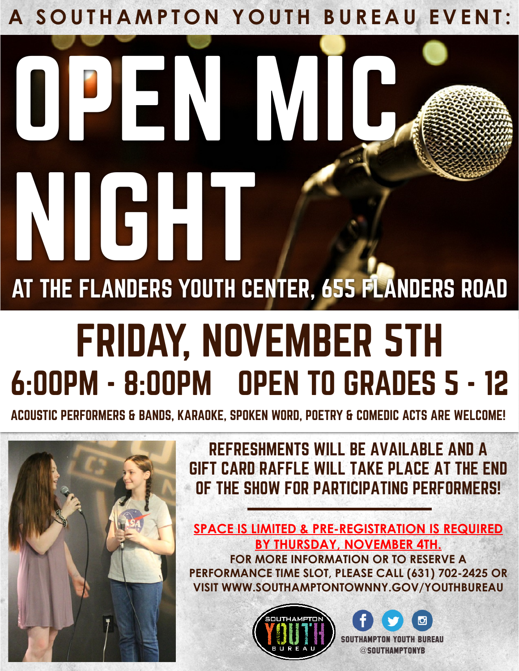A SOUTHAMPTON YOUTH BUREAU EVENT:

## OPEN M AT THE FLANDERS YOUTH CENTER, 655 FLANDERS ROAD NIGHT

## FRIDAY, NOVEMBER 5TH 6:00PM - 8:00PM OPEN TO GRADES 5 - 12

ACOUSTIC PERFORMERS & BANDS, KARAOKE, SPOKEN WORD, POETRY & COMEDIC ACTS ARE WELCOME!



REFRESHMENTS WILL BE AVAILABLE AND A GIFT CARD RAFFLE WILL TAKE PLACE AT THE END OF THE SHOW FOR PARTICIPATING PERFORMERS!

**SPACE IS LIMITED & PRE-REGISTRATION IS REQUIRED BY THURSDAY, NOVEMBER 4TH. FOR MORE INFORMATION OR TO RESERVE A PERFORMANCE TIME SLOT, PLEASE CALL (631) 702-2425 OR VISIT WWW.SOUTHAMPTONTOWNNY.GOV/YOUTHBUREAU**



SOUTHAMPTON YOUTH BUREAU @SOUTHAMPTONYB